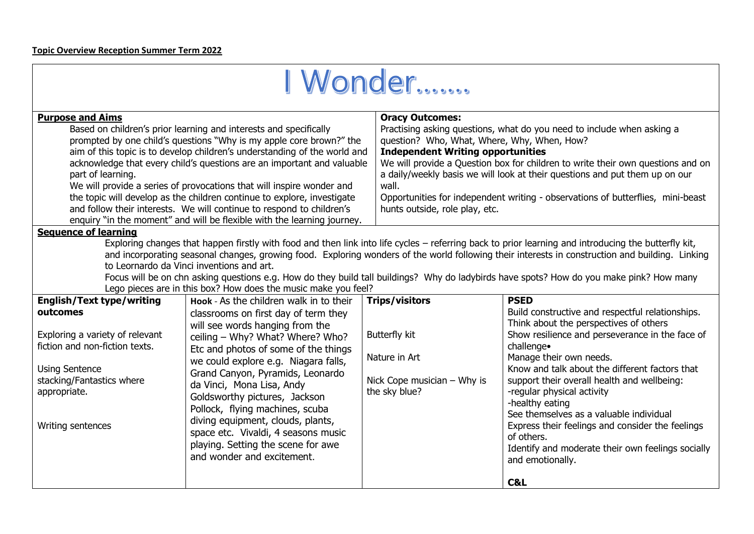| I Wonder                                                                                                                                                                                                                                                                                                                                                                                                                                                                                                                                                                                                                     |                                                                                                                                                                                                                                                                                                                                                                                                                                                                   |  |  |  |
|------------------------------------------------------------------------------------------------------------------------------------------------------------------------------------------------------------------------------------------------------------------------------------------------------------------------------------------------------------------------------------------------------------------------------------------------------------------------------------------------------------------------------------------------------------------------------------------------------------------------------|-------------------------------------------------------------------------------------------------------------------------------------------------------------------------------------------------------------------------------------------------------------------------------------------------------------------------------------------------------------------------------------------------------------------------------------------------------------------|--|--|--|
| <b>Purpose and Aims</b>                                                                                                                                                                                                                                                                                                                                                                                                                                                                                                                                                                                                      | <b>Oracy Outcomes:</b>                                                                                                                                                                                                                                                                                                                                                                                                                                            |  |  |  |
| Based on children's prior learning and interests and specifically<br>prompted by one child's questions "Why is my apple core brown?" the<br>aim of this topic is to develop children's understanding of the world and<br>acknowledge that every child's questions are an important and valuable<br>part of learning.<br>We will provide a series of provocations that will inspire wonder and<br>the topic will develop as the children continue to explore, investigate<br>and follow their interests. We will continue to respond to children's<br>enquiry "in the moment" and will be flexible with the learning journey. | Practising asking questions, what do you need to include when asking a<br>question? Who, What, Where, Why, When, How?<br><b>Independent Writing opportunities</b><br>We will provide a Question box for children to write their own questions and on<br>a daily/weekly basis we will look at their questions and put them up on our<br>wall.<br>Opportunities for independent writing - observations of butterflies, mini-beast<br>hunts outside, role play, etc. |  |  |  |
| <b>Sequence of learning</b><br>Exploring changes that happen firstly with food and then link into life cycles - referring back to prior learning and introducing the butterfly kit,<br>and incorporating seasonal changes, growing food. Exploring wonders of the world following their interests in construction and building. Linking<br>to Leornardo da Vinci inventions and art.                                                                                                                                                                                                                                         |                                                                                                                                                                                                                                                                                                                                                                                                                                                                   |  |  |  |

Focus will be on chn asking questions e.g. How do they build tall buildings? Why do ladybirds have spots? How do you make pink? How many Lego pieces are in this box? How does the music make you feel?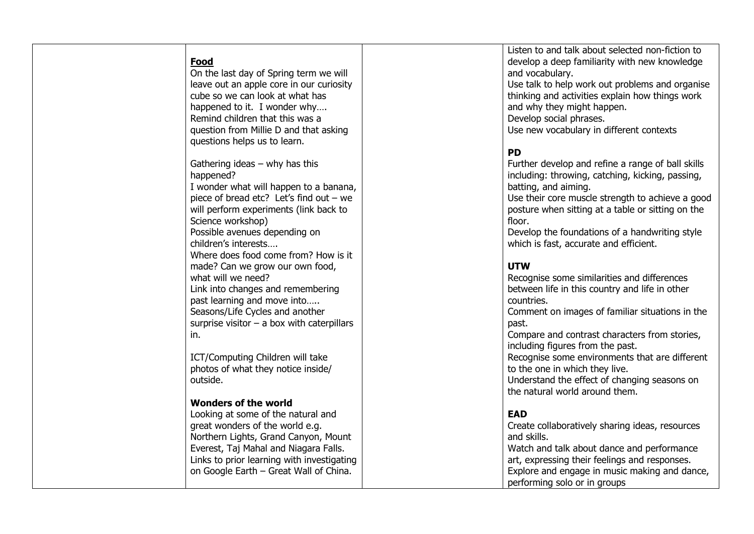## **Food**

On the last day of Spring term we will leave out an apple core in our curiosity cube so we can look at what has happened to it. I wonder why... Remind children that this was a question from Millie D and that asking questions helps us to learn.

Gathering ideas – why has this happened? I wonder what will happen to a banana, piece of bread etc? Let's find out – we will perform experiments (link back to Science workshop) Possible avenues depending on children's interests…. Where does food come from? How is it made? Can we grow our own food, what will we need? Link into changes and remembering past learning and move into….. Seasons/Life Cycles and another surprise visitor – a box with caterpillars in.

ICT/Computing Children will take photos of what they notice inside/ outside.

## **Wonders of the world**

Looking at some of the natural and great wonders of the world e.g. Northern Lights, Grand Canyon, Mount Everest, Taj Mahal and Niagara Falls. Links to prior learning with investigating on Google Earth – Great Wall of China.

Listen to and talk about selected non -fiction to develop a deep familiarity with new knowledge and vocabulary.

Use talk to help work out problems and organise thinking and activities explain how things work and why they might happen. Develop social phrases.

Use new vocabulary in different contexts

## **PD**

Further develop and refine a range of ball skills including: throwing, catching, kicking, passing, batting, and aiming.

Use their core muscle strength to achieve a good posture when sitting at a table or sitting on the floor.

Develop the foundations of a handwriting style which is fast, accurate and efficient.

## **UTW**

| Recognise some similarities and differences<br>between life in this country and life in other |
|-----------------------------------------------------------------------------------------------|
| countries.                                                                                    |
| Comment on images of familiar situations in the                                               |
| past.                                                                                         |
| Compare and contrast characters from stories,                                                 |
| including figures from the past.                                                              |
| Recognise some environments that are different                                                |
| to the one in which they live.                                                                |
| Understand the effect of changing seasons on                                                  |
| the natural world around them.                                                                |
|                                                                                               |
| <b>EAD</b>                                                                                    |
| Create collaboratively sharing ideas, resources                                               |
| and skills.                                                                                   |
| Watch and talk about dance and performance                                                    |
| art, expressing their feelings and responses.                                                 |
| Explore and engage in music making and dance,                                                 |
| performing solo or in groups                                                                  |
|                                                                                               |